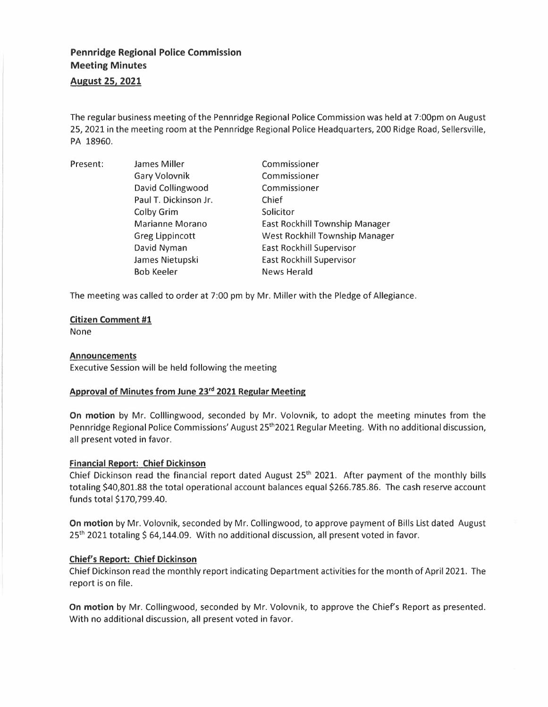# **Pennridge Regional Police Commission Meeting Minutes**

**August 25, 2021** 

The regular business meeting of the Penn ridge Regional Police Commission was held at 7:00pm on August 25, 2021 in the meeting room at the Penn ridge Regional Police Headquarters, 200 Ridge Road, Sellersville, PA 18960.

| Present: | James Miller           | Commissioner                          |
|----------|------------------------|---------------------------------------|
|          | <b>Gary Volovnik</b>   | Commissioner                          |
|          | David Collingwood      | Commissioner                          |
|          | Paul T. Dickinson Jr.  | Chief                                 |
|          | Colby Grim             | Solicitor                             |
|          | Marianne Morano        | East Rockhill Township Manager        |
|          | <b>Greg Lippincott</b> | <b>West Rockhill Township Manager</b> |
|          | David Nyman            | <b>East Rockhill Supervisor</b>       |
|          | James Nietupski        | <b>East Rockhill Supervisor</b>       |
|          | <b>Bob Keeler</b>      | <b>News Herald</b>                    |

The meeting was called to order at 7:00 pm by Mr. Miller with the Pledge of Allegiance.

## **Citizen Comment #1**

None

## **Announcements**

Executive Session will be held following the meeting

## **Approval of Minutes from June 23rd 2021 Regular Meeting**

**On motion** by Mr. Colllingwood, seconded by Mr. Volovnik, to adopt the meeting minutes from the Pennridge Regional Police Commissions' August 25<sup>th</sup> 2021 Regular Meeting. With no additional discussion, all present voted in favor.

# **Financial Report: Chief Dickinson**

Chief Dickinson read the financial report dated August 25 th 2021. After payment of the monthly bills totaling \$40,801.88 the total operational account balances equal \$266.785.86. The cash reserve account funds total \$170,799.40.

**On motion** by Mr. Volovnik, seconded by Mr. Collingwood, to approve payment of Bills List dated August 25<sup>th</sup> 2021 totaling \$ 64,144.09. With no additional discussion, all present voted in favor.

# **Chief's Report: Chief Dickinson**

Chief Dickinson read the monthly report indicating Department activities for the month of April 2021. The report is on file.

**On motion** by Mr. Collingwood, seconded by Mr. Volovnik, to approve the Chief's Report as presented. With no additional discussion, all present voted in favor.